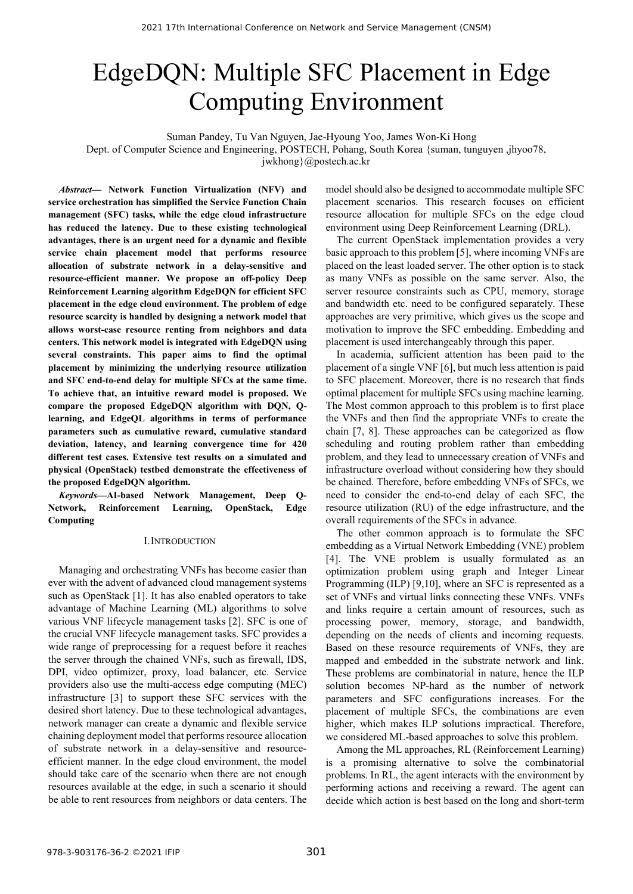# EdgeDQN: Multiple SFC Placement in Edge Computing Environment

Suman Pandey, Tu Van Nguyen, Jae-Hyoung Yoo, James Won-Ki Hong

Dept. of Computer Science and Engineering, POSTECH, Pohang, South Korea {suman, tunguyen ,jhyoo78,

jwkhong}@postech.ac.kr

*Abstract—* **Network Function Virtualization (NFV) and service orchestration has simplified the Service Function Chain management (SFC) tasks, while the edge cloud infrastructure has reduced the latency. Due to these existing technological advantages, there is an urgent need for a dynamic and flexible service chain placement model that performs resource allocation of substrate network in a delay-sensitive and resource-efficient manner. We propose an off-policy Deep Reinforcement Learning algorithm EdgeDQN for efficient SFC placement in the edge cloud environment. The problem of edge resource scarcity is handled by designing a network model that allows worst-case resource renting from neighbors and data centers. This network model is integrated with EdgeDQN using several constraints. This paper aims to find the optimal placement by minimizing the underlying resource utilization and SFC end-to-end delay for multiple SFCs at the same time. To achieve that, an intuitive reward model is proposed. We compare the proposed EdgeDQN algorithm with DQN, Qlearning, and EdgeQL algorithms in terms of performance parameters such as cumulative reward, cumulative standard deviation, latency, and learning convergence time for 420 different test cases. Extensive test results on a simulated and physical (OpenStack) testbed demonstrate the effectiveness of the proposed EdgeDQN algorithm.**

*Keywords—***AI-based Network Management, Deep Q- Network, Reinforcement Learning, OpenStack, Edge Computing**

## I.INTRODUCTION

Managing and orchestrating VNFs has become easier than ever with the advent of advanced cloud management systems such as OpenStack [1]. It has also enabled operators to take advantage of Machine Learning (ML) algorithms to solve various VNF lifecycle management tasks [2]. SFC is one of the crucial VNF lifecycle management tasks. SFC provides a wide range of preprocessing for a request before it reaches the server through the chained VNFs, such as firewall, IDS, DPI, video optimizer, proxy, load balancer, etc. Service providers also use the multi-access edge computing (MEC) infrastructure [3] to support these SFC services with the desired short latency. Due to these technological advantages, network manager can create a dynamic and flexible service chaining deployment model that performs resource allocation of substrate network in a delay-sensitive and resource efficient manner. In the edge cloud environment, the model should take care of the scenario when there are not enough resources available at the edge, in such a scenario it should be able to rent resources from neighbors or data centers. The model should also be designed to accommodate multiple SFC placement scenarios. This research focuses on efficient resource allocation for multiple SFCs on the edge cloud environment using Deep Reinforcement Learning (DRL).

The current OpenStack implementation provides a very basic approach to this problem [5], where incoming VNFs are placed on the least loaded server. The other option is to stack as many VNFs as possible on the same server. Also, the server resource constraints such as CPU, memory, storage and bandwidth etc. need to be configured separately. These approaches are very primitive, which gives us the scope and motivation to improve the SFC embedding. Embedding and placement is used interchangeably through this paper.

In academia, sufficient attention has been paid to the placement of a single VNF [6], but much less attention is paid to SFC placement. Moreover, there is no research that finds optimal placement for multiple SFCs using machine learning. The Most common approach to this problem is to first place the VNFs and then find the appropriate VNFs to create the chain [7, 8]. These approaches can be categorized as flow scheduling and routing problem rather than embedding problem, and they lead to unnecessary creation of VNFs and infrastructure overload without considering how they should be chained. Therefore, before embedding VNFs of SFCs, we need to consider the end-to-end delay of each SFC, the resource utilization (RU) of the edge infrastructure, and the overall requirements of the SFCs in advance.

The other common approach is to formulate the SFC embedding as a Virtual Network Embedding (VNE) problem [4]. The VNE problem is usually formulated as an optimization problem using graph and Integer Linear Programming (ILP) [9,10], where an SFC is represented as a set of VNFs and virtual links connecting these VNFs. VNFs and links require a certain amount of resources, such as processing power, memory, storage, and bandwidth, depending on the needs of clients and incoming requests. Based on these resource requirements of VNFs, they are mapped and embedded in the substrate network and link. These problems are combinatorial in nature, hence the ILP solution becomes NP-hard as the number of network parameters and SFC configurations increases. For the placement of multiple SFCs, the combinations are even higher, which makes ILP solutions impractical. Therefore, we considered ML-based approaches to solve this problem.

Among the ML approaches, RL (Reinforcement Learning) is a promising alternative to solve the combinatorial problems. In RL, the agent interacts with the environment by performing actions and receiving a reward. The agent can decide which action is best based on the long and short-term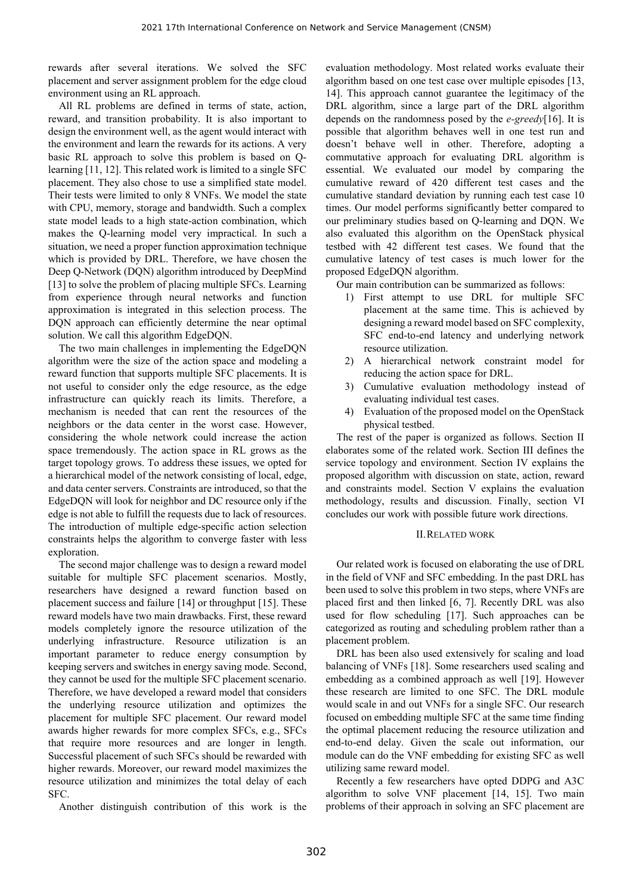rewards after several iterations. We solved the SFC placement and server assignment problem for the edge cloud environment using an RL approach.

All RL problems are defined in terms of state, action, reward, and transition probability. It is also important to design the environment well, as the agent would interact with the environment and learn the rewards for its actions. A very basic RL approach to solve this problem is based on Qlearning [11, 12]. This related work is limited to a single SFC placement. They also chose to use a simplified state model. Their tests were limited to only 8 VNFs. We model the state with CPU, memory, storage and bandwidth. Such a complex state model leads to a high state-action combination, which makes the Q-learning model very impractical. In such a situation, we need a proper function approximation technique which is provided by DRL. Therefore, we have chosen the Deep Q-Network (DQN) algorithm introduced by DeepMind [13] to solve the problem of placing multiple SFCs. Learning from experience through neural networks and function approximation is integrated in this selection process. The DQN approach can efficiently determine the near optimal solution. We call this algorithm EdgeDQN.

The two main challenges in implementing the EdgeDQN algorithm were the size of the action space and modeling a reward function that supports multiple SFC placements. It is not useful to consider only the edge resource, as the edge infrastructure can quickly reach its limits. Therefore, a mechanism is needed that can rent the resources of the neighbors or the data center in the worst case. However, considering the whole network could increase the action space tremendously. The action space in RL grows as the target topology grows. To address these issues, we opted for a hierarchical model of the network consisting of local, edge, and data center servers. Constraints are introduced, so that the EdgeDQN will look for neighbor and DC resource only if the edge is not able to fulfill the requests due to lack of resources. The introduction of multiple edge-specific action selection constraints helps the algorithm to converge faster with less exploration.

The second major challenge was to design a reward model suitable for multiple SFC placement scenarios. Mostly, researchers have designed a reward function based on placement success and failure [14] or throughput [15]. These reward models have two main drawbacks. First, these reward models completely ignore the resource utilization of the underlying infrastructure. Resource utilization is an important parameter to reduce energy consumption by keeping servers and switches in energy saving mode. Second, they cannot be used for the multiple SFC placement scenario. Therefore, we have developed a reward model that considers the underlying resource utilization and optimizes the placement for multiple SFC placement. Our reward model awards higher rewards for more complex SFCs, e.g., SFCs that require more resources and are longer in length. Successful placement of such SFCs should be rewarded with higher rewards. Moreover, our reward model maximizes the resource utilization and minimizes the total delay of each SFC.

Another distinguish contribution of this work is the

evaluation methodology. Most related works evaluate their algorithm based on one test case over multiple episodes [13, 14]. This approach cannot guarantee the legitimacy of the DRL algorithm, since a large part of the DRL algorithm depends on the randomness posed by the *e-greedy*[16]. It is possible that algorithm behaves well in one test run and doesn't behave well in other. Therefore, adopting a commutative approach for evaluating DRL algorithm is essential. We evaluated our model by comparing the cumulative reward of 420 different test cases and the cumulative standard deviation by running each test case 10 times. Our model performs significantly better compared to our preliminary studies based on Q-learning and DQN. We also evaluated this algorithm on the OpenStack physical testbed with 42 different test cases. We found that the cumulative latency of test cases is much lower for the proposed EdgeDQN algorithm.

Our main contribution can be summarized as follows:

- 1) First attempt to use DRL for multiple SFC placement at the same time. This is achieved by designing a reward model based on SFC complexity, SFC end-to-end latency and underlying network resource utilization.
- 2) A hierarchical network constraint model for reducing the action space for DRL.
- 3) Cumulative evaluation methodology instead of evaluating individual test cases.
- 4) Evaluation of the proposed model on the OpenStack physical testbed.

The rest of the paper is organized as follows. Section II elaborates some of the related work. Section III defines the service topology and environment. Section IV explains the proposed algorithm with discussion on state, action, reward and constraints model. Section V explains the evaluation methodology, results and discussion. Finally, section VI concludes our work with possible future work directions.

# II.RELATED WORK

Our related work is focused on elaborating the use of DRL in the field of VNF and SFC embedding. In the past DRL has been used to solve this problem in two steps, where VNFs are placed first and then linked [6, 7]. Recently DRL was also used for flow scheduling [17]. Such approaches can be categorized as routing and scheduling problem rather than a placement problem.

DRL has been also used extensively for scaling and load balancing of VNFs [18]. Some researchers used scaling and embedding as a combined approach as well [19]. However these research are limited to one SFC. The DRL module would scale in and out VNFs for a single SFC. Our research focused on embedding multiple SFC at the same time finding the optimal placement reducing the resource utilization and end-to-end delay. Given the scale out information, our module can do the VNF embedding for existing SFC as well utilizing same reward model.

Recently a few researchers have opted DDPG and A3C algorithm to solve VNF placement [14, 15]. Two main problems of their approach in solving an SFC placement are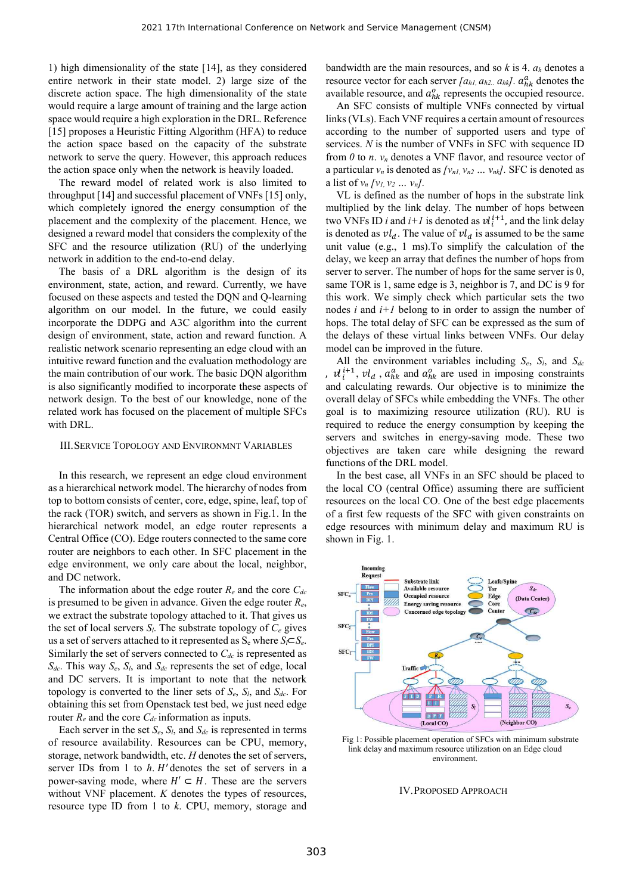1) high dimensionality of the state [14], as they considered entire network in their state model. 2) large size of the discrete action space. The high dimensionality of the state would require a large amount of training and the large action space would require a high exploration in the DRL. Reference [15] proposes a Heuristic Fitting Algorithm (HFA) to reduce the action space based on the capacity of the substrate network to serve the query. However, this approach reduces the action space only when the network is heavily loaded.

The reward model of related work is also limited to throughput [14] and successful placement of VNFs [15] only, which completely ignored the energy consumption of the placement and the complexity of the placement. Hence, we designed a reward model that considers the complexity of the SFC and the resource utilization (RU) of the underlying network in addition to the end-to-end delay.

The basis of a DRL algorithm is the design of its environment, state, action, and reward. Currently, we have focused on these aspects and tested the DQN and Q-learning algorithm on our model. In the future, we could easily incorporate the DDPG and A3C algorithm into the current design of environment, state, action and reward function. A realistic network scenario representing an edge cloud with an intuitive reward function and the evaluation methodology are the main contribution of our work. The basic DQN algorithm is also significantly modified to incorporate these aspects of network design. To the best of our knowledge, none of the related work has focused on the placement of multiple SFCs with DRL.

## III.SERVICE TOPOLOGY AND ENVIRONMNT VARIABLES

In this research, we represent an edge cloud environment as a hierarchical network model. The hierarchy of nodes from top to bottom consists of center, core, edge, spine, leaf, top of the rack (TOR) switch, and servers as shown in Fig.1. In the hierarchical network model, an edge router represents a Central Office (CO). Edge routers connected to the same core router are neighbors to each other. In SFC placement in the edge environment, we only care about the local, neighbor, and DC network.

The information about the edge router  $R_e$  and the core  $C_{de}$ is presumed to be given in advance. Given the edge router  $R_e$ , we extract the substrate topology attached to it. That gives us the set of local servers  $S_l$ . The substrate topology of  $C_e$  gives us a set of servers attached to it represented as  $S_e$  where  $S_l \subset S_e$ .<br>Similarly the set of servers connected to  $C_{dc}$  is represented as *Sdc*. This way *Se*, *Sl*, and *Sdc* represents the set of edge, local and DC servers. It is important to note that the network topology is converted to the liner sets of *Se*, *Sl*, and *Sdc*. For obtaining this set from Openstack test bed, we just need edge router  $R_e$  and the core  $C_{de}$  information as inputs.

Each server in the set  $S_e$ ,  $S_l$ , and  $S_{dc}$  is represented in terms of resource availability. Resources can be CPU, memory, storage, network bandwidth, etc. *H* denotes the set of servers, server IDs from 1 to  $h$ .  $H'$  denotes the set of servers in a power-saving mode, where  $H' \subset H$ . These are the servers without VNF placement. *K* denotes the types of resources, resource type ID from 1 to *k*. CPU, memory, storage and

bandwidth are the main resources, and so *k* is 4. *a<sup>h</sup>* denotes a resource vector for each server  $[a_{h1}, a_{h2}]$ .  $a_{hk}$ <sup> $a_{hk}$ </sup> denotes the available resource, and  $a_{hk}^o$  represents the occupied resource.

An SFC consists of multiple VNFs connected by virtual links (VLs). Each VNF requires a certain amount of resources according to the number of supported users and type of services. *N* is the number of VNFs in SFC with sequence ID from  $\theta$  to  $n$ .  $v_n$  denotes a VNF flavor, and resource vector of a particular  $v_n$  is denoted as  $\left\{v_{n1}, v_{n2} \dots v_{nk}\right\}$ . SFC is denoted as a list of  $v_n / v_1, v_2 ... v_n$ .

VL is defined as the number of hops in the substrate link multiplied by the link delay. The number of hops between two VNFs ID *i* and  $i+1$  is denoted as  $vl_i^{i+1}$ , and the link delay is denoted as  $vl_d$ . The value of  $vl_d$  is assumed to be the same unit value (e.g., 1 ms).To simplify the calculation of the delay, we keep an array that defines the number of hops from server to server. The number of hops for the same server is 0, same TOR is 1, same edge is 3, neighbor is 7, and DC is 9 for this work. We simply check which particular sets the two nodes *i* and *i+1* belong to in order to assign the number of hops. The total delay of SFC can be expressed as the sum of the delays of these virtual links between VNFs. Our delay model can be improved in the future.

All the environment variables including *Se*, *Sl*, and *Sdc* ,  $vl_i^{i+1}$ ,  $vl_d$ ,  $a_{hk}^a$  and  $a_{hk}^o$  are used in imposing constraints and calculating rewards. Our objective is to minimize the overall delay of SFCs while embedding the VNFs. The other goal is to maximizing resource utilization (RU). RU is required to reduce the energy consumption by keeping the servers and switches in energy-saving mode. These two objectives are taken care while designing the reward functions of the DRL model.

In the best case, all VNFs in an SFC should be placed to the local CO (central Office) assuming there are sufficient resources on the local CO. One of the best edge placements of a first few requests of the SFC with given constraints on edge resources with minimum delay and maximum RU is shown in Fig. 1.



Fig 1: Possible placement operation of SFCs with minimum substrate link delay and maximum resource utilization on an Edge cloud environment.

#### IV.PROPOSED APPROACH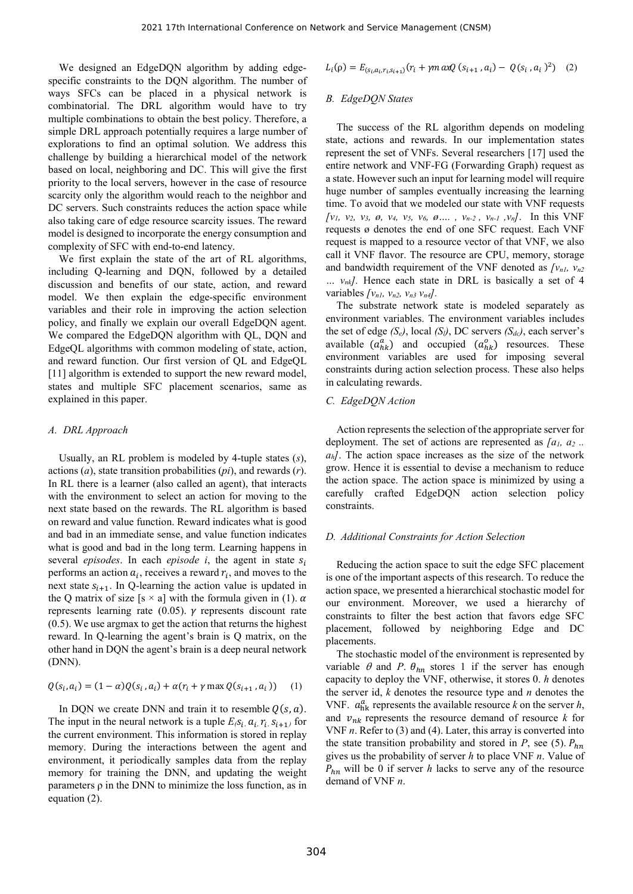We designed an EdgeDQN algorithm by adding edge specific constraints to the DQN algorithm. The number of ways SFCs can be placed in a physical network is combinatorial. The DRL algorithm would have to try multiple combinations to obtain the best policy. Therefore, a simple DRL approach potentially requires a large number of explorations to find an optimal solution. We address this challenge by building a hierarchical model of the network based on local, neighboring and DC. This will give the first priority to the local servers, however in the case of resource scarcity only the algorithm would reach to the neighbor and DC servers. Such constraints reduces the action space while also taking care of edge resource scarcity issues. The reward model is designed to incorporate the energy consumption and complexity of SFC with end-to-end latency.

We first explain the state of the art of RL algorithms, including Q-learning and DQN, followed by a detailed discussion and benefits of our state, action, and reward model. We then explain the edge-specific environment variables and their role in improving the action selection policy, and finally we explain our overall EdgeDQN agent. We compared the EdgeDQN algorithm with QL, DQN and EdgeQL algorithms with common modeling of state, action, and reward function. Our first version of QL and EdgeQL [11] algorithm is extended to support the new reward model, states and multiple SFC placement scenarios, same as explained in this paper.

# *A. DRL Approach*

Usually, an RL problem is modeled by 4-tuple states (*s*), actions (*a*), state transition probabilities (*pi*), and rewards (*r*). In RL there is a learner (also called an agent), that interacts with the environment to select an action for moving to the next state based on the rewards. The RL algorithm is based on reward and value function. Reward indicates what is good and bad in an immediate sense, and value function indicates what is good and bad in the long term. Learning happens in several *episodes*. In each *episode i*, the agent in state performs an action  $a_i$ , receives a reward  $r_i$ , and moves to the next state  $s_{i+1}$ . In Q-learning the action value is updated in the Q matrix of size [s  $\times$  a] with the formula given in (1).  $\alpha$ represents learning rate  $(0.05)$ .  $\gamma$  represents discount rate (0.5). We use argmax to get the action that returns the highest reward. In Q-learning the agent's brain is Q matrix, on the other hand in DQN the agent's brain is a deep neural network (DNN).

$$
Q(s_i, a_i) = (1 - \alpha)Q(s_i, a_i) + \alpha(r_i + \gamma \max Q(s_{i+1}, a_i)) \quad (1)
$$

In DQN we create DNN and train it to resemble  $Q(s, a)$ .<br>The input in the neural network is a tuple  $E(s_i, a_i, r_i, s_{i+1})$  for the current environment. This information is stored in replay memory. During the interactions between the agent and environment, it periodically samples data from the replay memory for training the DNN, and updating the weight parameters  $\rho$  in the DNN to minimize the loss function, as in equation (2).

work and Service Management (CNSM)  
\n
$$
L_i(\rho) = E_{(s_i, a_i, r_i, s_{i+1})}(r_i + \gamma m \alpha x Q (s_{i+1}, a_i) - Q(s_i, a_i)^2)
$$
 (2)

## *B. EdgeDQN States*

The success of the RL algorithm depends on modeling state, actions and rewards. In our implementation states represent the set of VNFs. Several researchers [17] used the entire network and VNF-FG (Forwarding Graph) request as a state. However such an input for learning model will require huge number of samples eventually increasing the learning time. To avoid that we modeled our state with VNF requests  $[v_1, v_2, v_3, \emptyset, v_4, v_5, v_6, \emptyset, \dots, v_{n-2}, v_{n-1}, v_n].$  In this VNF requests ø denotes the end of one SFC request. Each VNF request is mapped to a resource vector of that VNF, we also call it VNF flavor. The resource are CPU, memory, storage and bandwidth requirement of the VNF denoted as  $\sqrt{v_{nl}}$ ,  $v_{n2}$ *… vnk].* Hence each state in DRL is basically a set of 4 variables *[vn1, vn2, vn3 vn4].*

The substrate network state is modeled separately as environment variables. The environment variables includes the set of edge *(Se)*, local *(Sl)*, DC servers *(Sdc)*, each server's available  $(a_{hk}^a)$  and occupied  $(a_{hk}^o)$  resources. These environment variables are used for imposing several constraints during action selection process. These also helps in calculating rewards.

## *C. EdgeDQN Action*

Action represents the selection of the appropriate server for deployment. The set of actions are represented as  $[a_1, a_2, a_n]$ . The action space increases as the size of the network grow. Hence it is essential to devise a mechanism to reduce the action space. The action space is minimized by using a carefully crafted EdgeDQN action selection policy constraints.

## *D. Additional Constraints for Action Selection*

Reducing the action space to suit the edge SFC placement is one of the important aspects of this research. To reduce the action space, we presented a hierarchical stochastic model for our environment. Moreover, we used a hierarchy of constraints to filter the best action that favors edge SFC placement, followed by neighboring Edge and DC placements.

The stochastic model of the environment is represented by variable  $\theta$  and *P*.  $\theta_{hn}$  stores 1 if the server has enough capacity to deploy the VNF, otherwise, it stores 0. *h* denotes the server id, *k* denotes the resource type and *n* denotes the VNF.  $a_{hk}^a$  represents the available resource k on the server h, and  $v_{nk}$  represents the resource demand of resource *k* for VNF *n*. Refer to (3) and (4). Later, this array is converted into the state transition probability and stored in *P*, see (5).  $P_{hn}$ gives us the probability of server *h* to place VNF *n*. Value of  $P_{hn}$  will be 0 if server *h* lacks to serve any of the resource demand of VNF *n*.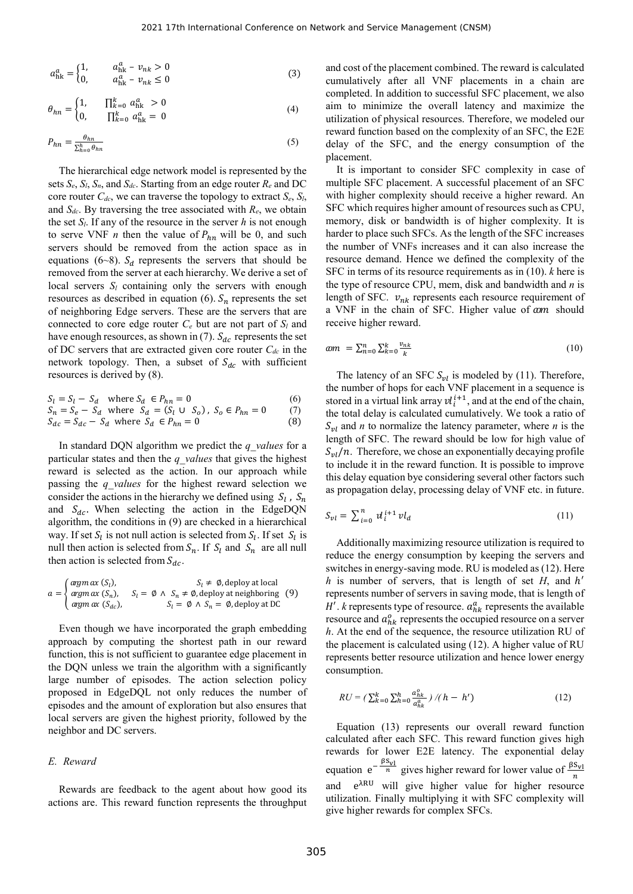$$
a_{hk}^a = \begin{cases} 1, & a_{hk}^a - v_{nk} > 0 \\ 0, & a_{hk}^a - v_{nk} \le 0 \end{cases}
$$
 (3)

$$
\theta_{hn} = \begin{cases} 1, & \prod_{k=0}^{k} a_{hk}^{a} > 0 \\ 0, & \prod_{k=0}^{k} a_{hk}^{a} = 0 \end{cases}
$$
 (4)

$$
P_{hn} = \frac{\theta_{hn}}{\sum_{h=0}^{h} \theta_{hn}}
$$
 (5)

The hierarchical edge network model is represented by the sets  $S_e$ ,  $S_l$ ,  $S_n$ , and  $S_{dc}$ . Starting from an edge router  $R_e$  and DC core router  $C_{dc}$ , we can traverse the topology to extract  $S_e$ ,  $S_l$ , and  $S_{dc}$ . By traversing the tree associated with  $R_e$ , we obtain the set  $S_l$ . If any of the resource in the server  $h$  is not enough to serve VNF *n* then the value of  $P_{hn}$  will be 0, and such servers should be removed from the action space as in equations (6~8).  $S_d$  represents the servers that should be removed from the server at each hierarchy. We derive a set of local servers  $S_l$  containing only the servers with enough resources as described in equation (6).  $S_n$  represents the set of neighboring Edge servers. These are the servers that are connected to core edge router  $C_e$  but are not part of  $S_l$  and have enough resources, as shown in (7).  $S_{dc}$  represents the set of DC servers that are extracted given core router *Cdc* in the network topology. Then, a subset of  $S_{dc}$  with sufficient resources is derived by (8).

$$
S_l = S_l - S_d \quad \text{where } S_d \in P_{hn} = 0 \tag{6}
$$

$$
S_n = S_e - S_d \text{ where } S_d = (S_l \cup S_o), S_o \in P_{hn} = 0 \tag{7}
$$
  

$$
S_{dc} = S_{dc} - S_d \text{ where } S_d \in P_{hn} = 0 \tag{8}
$$

In standard DQN algorithm we predict the *q* values for a particular states and then the *q* values that gives the highest reward is selected as the action. In our approach while passing the *q* values for the highest reward selection we consider the actions in the hierarchy we defined using 
$$
S_l
$$
,  $S_n$ , and  $S_{dc}$ . When selecting the action in the EdgeDQN algorithm, the conditions in (9) are checked in a hierarchical way. If set  $S_l$  is not null action is selected from  $S_l$ . If  $S_l$  and  $S_n$  are all null then action is selected from  $S_n$ . If  $S_l$  and  $S_n$  are all null then action is selected from  $S_n$ . If  $S_l$  and  $S_n$  are all null and then action is selected from  $S_{dc}$ .

null then action is selected from 
$$
S_n
$$
. If  $S_l$  and  $S_n$  are all null  
\nthen action is selected from  $S_{dc}$ .

\n
$$
a = \begin{cases} \n \operatorname{argm} \alpha x(S_l), & S_l = \emptyset \land S_n \neq \emptyset, \text{ deploy at local} \\ \n \operatorname{argm} \alpha x(S_{dc}), & S_l = \emptyset \land S_n \neq \emptyset, \text{ deploy at neighboring } (9) \\ \n \operatorname{argm} \alpha x(S_{dc}), & S_l = \emptyset \land S_n = \emptyset, \text{ deploy at DC} \n \end{cases}
$$
\n

Even though we have incorporated the graph embedding approach by computing the shortest path in our reward function, this is not sufficient to guarantee edge placement in the DQN unless we train the algorithm with a significantly large number of episodes. The action selection policy proposed in EdgeDQL not only reduces the number of episodes and the amount of exploration but also ensures that local servers are given the highest priority, followed by the neighbor and DC servers.

# *E. Reward*

Rewards are feedback to the agent about how good its actions are. This reward function represents the throughput and cost of the placement combined. The reward is calculated cumulatively after all VNF placements in a chain are completed. In addition to successful SFC placement, we also aim to minimize the overall latency and maximize the utilization of physical resources. Therefore, we modeled our reward function based on the complexity of an SFC, the E2E delay of the SFC, and the energy consumption of the placement.

It is important to consider SFC complexity in case of multiple SFC placement. A successful placement of an SFC with higher complexity should receive a higher reward. An SFC which requires higher amount of resources such as CPU, memory, disk or bandwidth is of higher complexity. It is harder to place such SFCs. As the length of the SFC increases the number of VNFs increases and it can also increase the resource demand. Hence we defined the complexity of the SFC in terms of its resource requirements as in (10). *k* here is the type of resource CPU, mem, disk and bandwidth and *n* is length of SFC.  $v_{nk}$  represents each resource requirement of a VNF in the chain of SFC. Higher value of  $\alpha m$  should receive higher reward.

$$
\omega m = \sum_{n=0}^{n} \sum_{k=0}^{k} \frac{v_{nk}}{k} \tag{10}
$$

The latency of an SFC  $S_{vl}$  is modeled by (11). Therefore, the number of hops for each VNF placement in a sequence is stored in a virtual link array  $v_i^{i+1}$ , and at the end of the chain, the total delay is calculated cumulatively. We took a ratio of  $S_{vl}$  and *n* to normalize the latency parameter, where *n* is the length of SFC. The reward should be low for high value of  $S_{vl}/n$ . Therefore, we chose an exponentially decaying profile to include it in the reward function. It is possible to improve this delay equation bye considering several other factors such as propagation delay, processing delay of VNF etc. in future.

$$
S_{vl} = \sum_{i=0}^{n} v l_i^{i+1} v l_d \tag{11}
$$

Additionally maximizing resource utilization is required to reduce the energy consumption by keeping the servers and switches in energy-saving mode. RU is modeled as (12). Here *h* is number of servers, that is length of set *H*, and *h'* represents number of servers in saving mode, that is length of  $H'$ . *k* represents type of resource.  $a_{hk}^a$  represents the available resource and  $a_{hk}^o$  represents the occupied resource on a server *h*. At the end of the sequence, the resource utilization RU of the placement is calculated using (12). A higher value of RU represents better resource utilization and hence lower energy consumption.

$$
RU = (\sum_{k=0}^{k} \sum_{h=0}^{h} \frac{a_{hk}^o}{a_{hk}^a}) / (h - h')
$$
 (12)

Equation (13) represents our overall reward function calculated after each SFC. This reward function gives high rewards for lower E2E latency. The exponential delay equation  $e^{-\frac{\beta S_{\text{VI}}}{n}}$  gives higher reward for lower value of  $\frac{\beta S_{\text{VI}}}{n}$ and e<sup> $\lambda$ RU</sup> will give higher value for higher resource utilization. Finally multiplying it with SFC complexity will give higher rewards for complex SFCs.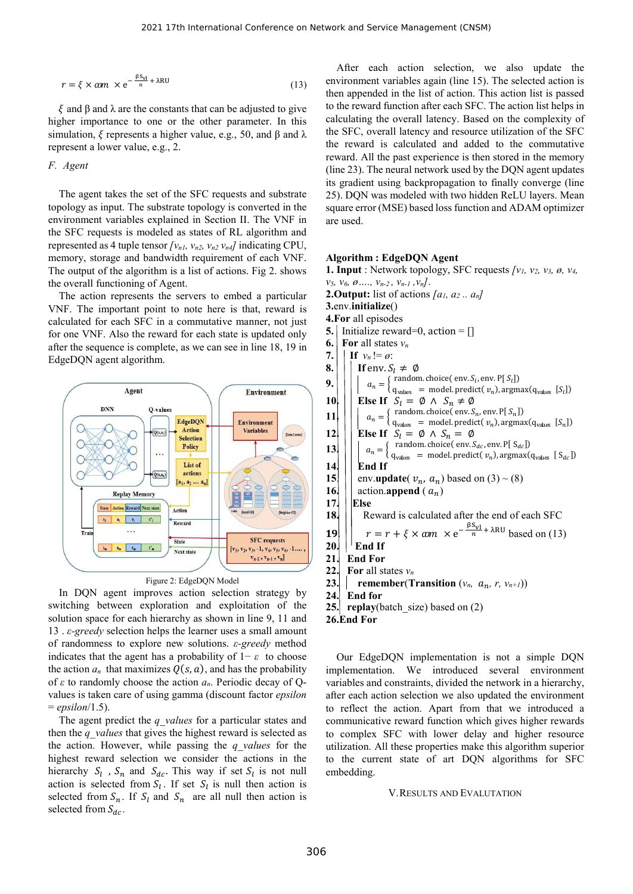$$
r = \xi \times \omega m \times e^{-\frac{\beta S_{\rm VI}}{n} + \lambda R U} \tag{13}
$$

ξ and β and λ are the constants that can be adjusted to give higher importance to one or the other parameter. In this simulation,  $\xi$  represents a higher value, e.g., 50, and  $\beta$  and  $\lambda$ represent a lower value, e.g., 2.

# *F. Agent*

The agent takes the set of the SFC requests and substrate topology as input. The substrate topology is converted in the environment variables explained in Section II. The VNF in the SFC requests is modeled as states of RL algorithm and represented as 4 tuple tensor  $[v_{n1}, v_{n2}, v_{n2}, v_{n4}]$  indicating CPU, memory, storage and bandwidth requirement of each VNF. The output of the algorithm is a list of actions. Fig 2. shows the overall functioning of Agent.

The action represents the servers to embed a particular VNF. The important point to note here is that, reward is calculated for each SFC in a commutative manner, not just  $\frac{4.1}{5}$ for one VNF. Also the reward for each state is updated only  $\frac{5}{6}$ . after the sequence is complete, as we can see in line 18, 19 in  $\frac{6}{7}$ . EdgeDQN agent algorithm.





In DQN agent improves action selection strategy by 24 switching between exploration and exploitation of the solution space for each hierarchy as shown in line 9, 11 and 13 . *ε-greedy* selection helps the learner uses a small amount of randomness to explore new solutions. *ε-greedy* method indicates that the agent has a probability of 1− *ε* to choose the action  $a_n$  that maximizes  $Q(s, a)$ , and has the probability of *ε* to randomly choose the action *an*. Periodic decay of Q values is taken care of using gamma (discount factor *epsilon* = *epsilon*/1.5).

The agent predict the *q* values for a particular states and then the *q\_values* that gives the highest reward is selected as the action. However, while passing the *q\_values* for the highest reward selection we consider the actions in the hierarchy  $S_l$ ,  $S_n$  and  $S_{dc}$ . This way if set  $S_l$  is not null  $\epsilon$ action is selected from  $S_l$ . If set  $S_l$  is null then action is selected from  $S_n$ . If  $S_l$  and  $S_n$  are all null then action is selected from  $S_{dc}$ .

After each action selection, we also update the environment variables again (line 15). The selected action is then appended in the list of action. This action list is passed to the reward function after each SFC. The action list helps in calculating the overall latency. Based on the complexity of the SFC, overall latency and resource utilization of the SFC the reward is calculated and added to the commutative reward. All the past experience is then stored in the memory (line 23). The neural network used by the DQN agent updates its gradient using backpropagation to finally converge (line 25). DQN was modeled with two hidden ReLU layers. Mean square error (MSE) based loss function and ADAM optimizer are used.

# **Algorithm : EdgeDQN Agent**

**1. Input** : Network topology, SFC requests  $[v_1, v_2, v_3, \emptyset, v_4, v_5, v_6, \emptyset, \ldots, v_{n-2}, v_{n-1}, v_n].$ **2.Output:** list of actions  $[a_1, a_2, a_n]$ **3.**env.**initialize**() **4.For** all episodes **5.** Initialize reward=0, action = [] **For** all states  $v_n$ **If**  $v_n := \emptyset$ : **8.**  $\vert \vert$  **If** env.  $S_l \neq \emptyset$ **9.**  $\begin{bmatrix} \cdot \\ \cdot \end{bmatrix}$   $\begin{bmatrix} a_n = \begin{bmatrix} \text{random choice}(\text{env.} S_i, \text{env.} P[S_i] \\ \cdot \\ \cdot \\ \cdot \end{bmatrix}$  $q_{\text{values}} = \text{model.}\ \text{predict}(\ v_n)$ ,  $\argmax(q_{\text{values}} [S_l])$ **10.**  $\vert \vert$  **Else If**  $S_l = \emptyset \land S_n \neq \emptyset$  $\mathbf{11} \begin{bmatrix} \cdot \\ \cdot \\ \cdot \end{bmatrix} \begin{bmatrix} a_n = \begin{cases} \text{random choice}(\text{env.} S_n, \text{env.} P[S_n]) \\ \cdot \\ \cdot \\ \cdot \end{cases}$  $q_{\text{values}} = \text{model.}\text{predict}(v_n)$ ,  $\text{argmax}(q_{\text{values}} [S_n])$ **12. Else If**  $S_l = \emptyset \land S_n = \emptyset$ **13.**  $\left| \begin{array}{c} \begin{array}{c} \end{array} \right| \left| \begin{array}{c} \end{array} a_n = \begin{array}{c} \begin{array}{c} \text{random. choice( env. } S_{dc}, \text{env. } P[S_{dc}] \end{array} \end{array} \right|$ **14. End If 15.**  $\vert \cdot \vert$  env.**update**(  $v_n$ ,  $a_n$ ) based on (3) ~ (8) **16. action.append** ( $a_n$ )<br>**17. Else 17. Else 18. Reward is calculated after the end of each SFC** 19  $\left|\left| \frac{r}{r} \right| \infty + \xi \times \omega m \times e^{-\frac{\beta S_{\rm VI}}{n} + \lambda R U}$  based on (13)  $20.$   $\vert$  **End If 21. End For 22. For** all states  $v_n$ **23. remember**(**Transition**  $(v_n, a_n, r, v_{n+1})$ ) **24. End for 25. replay**(batch\_size) based on (2) **26.End For**

Our EdgeDQN implementation is not a simple DQN implementation. We introduced several environment variables and constraints, divided the network in a hierarchy, after each action selection we also updated the environment to reflect the action. Apart from that we introduced a communicative reward function which gives higher rewards to complex SFC with lower delay and higher resource utilization. All these properties make this algorithm superior to the current state of art DQN algorithms for SFC embedding.

#### V.RESULTS AND EVALUTATION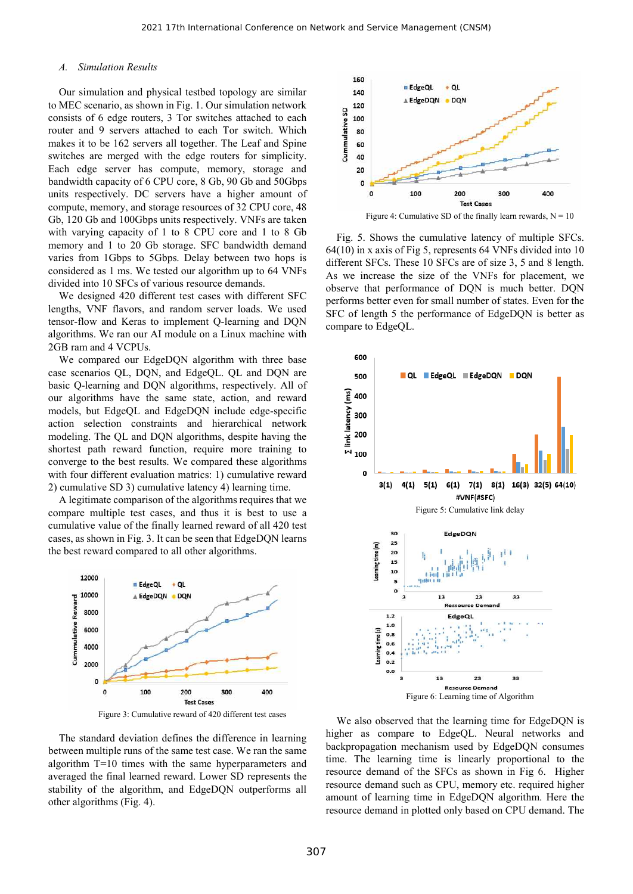## *A. Simulation Results*

Our simulation and physical testbed topology are similar to MEC scenario, as shown in Fig. 1. Our simulation network consists of 6 edge routers, 3 Tor switches attached to each router and 9 servers attached to each Tor switch. Which makes it to be 162 servers all together. The Leaf and Spine switches are merged with the edge routers for simplicity. Each edge server has compute, memory, storage and bandwidth capacity of 6 CPU core, 8 Gb, 90 Gb and 50Gbps units respectively. DC servers have a higher amount of compute, memory, and storage resources of 32 CPU core, 48 Gb, 120 Gb and 100Gbps units respectively. VNFs are taken with varying capacity of 1 to 8 CPU core and 1 to 8 Gb memory and 1 to 20 Gb storage. SFC bandwidth demand varies from 1Gbps to 5Gbps. Delay between two hops is considered as 1 ms. We tested our algorithm up to 64 VNFs divided into 10 SFCs of various resource demands.

We designed 420 different test cases with different SFC lengths, VNF flavors, and random server loads. We used tensor-flow and Keras to implement Q-learning and DQN algorithms. We ran our AI module on a Linux machine with 2GB ram and 4 VCPUs.

We compared our EdgeDQN algorithm with three base case scenarios QL, DQN, and EdgeQL. QL and DQN are basic Q-learning and DQN algorithms, respectively. All of our algorithms have the same state, action, and reward models, but EdgeQL and EdgeDQN include edge-specific action selection constraints and hierarchical network modeling. The QL and DQN algorithms, despite having the shortest path reward function, require more training to converge to the best results. We compared these algorithms with four different evaluation matrics: 1) cumulative reward 2) cumulative SD 3) cumulative latency 4) learning time.

A legitimate comparison of the algorithms requires that we compare multiple test cases, and thus it is best to use a cumulative value of the finally learned reward of all 420 test cases, as shown in Fig. 3. It can be seen that EdgeDQN learns the best reward compared to all other algorithms.



Figure 3: Cumulative reward of 420 different test cases

The standard deviation defines the difference in learning between multiple runs of the same test case. We ran the same algorithm T=10 times with the same hyperparameters and averaged the final learned reward. Lower SD represents the stability of the algorithm, and EdgeDQN outperforms all other algorithms (Fig. 4).



Fig. 5. Shows the cumulative latency of multiple SFCs. 64(10) in x axis of Fig 5, represents 64 VNFs divided into 10 different SFCs. These 10 SFCs are of size 3, 5 and 8 length. As we increase the size of the VNFs for placement, we observe that performance of DQN is much better. DQN performs better even for small number of states. Even for the SFC of length 5 the performance of EdgeDQN is better as compare to EdgeQL.



We also observed that the learning time for EdgeDQN is higher as compare to EdgeQL. Neural networks and backpropagation mechanism used by EdgeDQN consumes time. The learning time is linearly proportional to the resource demand of the SFCs as shown in Fig 6. Higher resource demand such as CPU, memory etc. required higher amount of learning time in EdgeDQN algorithm. Here the resource demand in plotted only based on CPU demand. The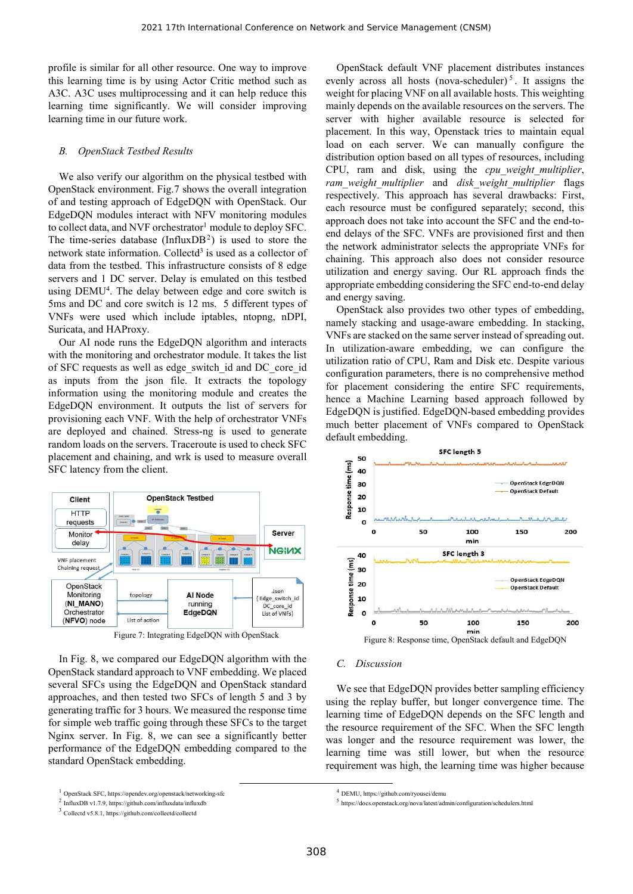profile is similar for all other resource. One way to improve this learning time is by using Actor Critic method such as A3C. A3C uses multiprocessing and it can help reduce this learning time significantly. We will consider improving learning time in our future work.

## *B. OpenStack Testbed Results*

We also verify our algorithm on the physical testbed with OpenStack environment. Fig.7 shows the overall integration of and testing approach of EdgeDQN with OpenStack. Our EdgeDQN modules interact with NFV monitoring modules to collect data, and NVF orchestrator<sup>1</sup> module to deploy SFC. The time-series database (InfluxDB<sup>2</sup>) is used to store the network state information. Collectd<sup>3</sup> is used as a collector of data from the testbed. This infrastructure consists of 8 edge servers and 1 DC server. Delay is emulated on this testbed using  $DEMU<sup>4</sup>$ . The delay between edge and core switch is  $\frac{d}{d}$ 5ms and DC and core switch is 12 ms. 5 different types of VNFs were used which include iptables, ntopng, nDPI, Suricata, and HAProxy.

Our AI node runs the EdgeDQN algorithm and interacts with the monitoring and orchestrator module. It takes the list of SFC requests as well as edge\_switch\_id and DC\_core\_id as inputs from the json file. It extracts the topology information using the monitoring module and creates the EdgeDQN environment. It outputs the list of servers for provisioning each VNF. With the help of orchestrator VNFs are deployed and chained. Stress-ng is used to generate random loads on the servers. Traceroute is used to check SFC placement and chaining, and wrk is used to measure overall SFC latency from the client.



Figure 7: Integrating EdgeDQN with OpenStack

-

In Fig. 8, we compared our EdgeDQN algorithm with the OpenStack standard approach to VNF embedding. We placed several SFCs using the EdgeDQN and OpenStack standard approaches, and then tested two SFCs of length 5 and 3 by generating traffic for 3 hours. We measured the response time for simple web traffic going through these SFCs to the target Nginx server. In Fig. 8, we can see a significantly better performance of the EdgeDQN embedding compared to the standard OpenStack embedding.

OpenStack default VNF placement distributes instances evenly across all hosts (nova-scheduler)<sup>5</sup>. It assigns the weight for placing VNF on all available hosts. This weighting mainly depends on the available resources on the servers. The server with higher available resource is selected for placement. In this way, Openstack tries to maintain equal load on each server. We can manually configure the distribution option based on all types of resources, including CPU, ram and disk, using the *cpu\_weight\_multiplier*, *ram\_weight\_multiplier* and *disk\_weight\_multiplier* flags respectively. This approach has several drawbacks: First, each resource must be configured separately; second, this approach does not take into account the SFC and the end-to end delays of the SFC. VNFs are provisioned first and then the network administrator selects the appropriate VNFs for chaining. This approach also does not consider resource utilization and energy saving. Our RL approach finds the appropriate embedding considering the SFC end-to-end delay and energy saving.

OpenStack also provides two other types of embedding, namely stacking and usage-aware embedding. In stacking, VNFs are stacked on the same server instead of spreading out. In utilization-aware embedding, we can configure the utilization ratio of CPU, Ram and Disk etc. Despite various configuration parameters, there is no comprehensive method for placement considering the entire SFC requirements, hence a Machine Learning based approach followed by EdgeDQN is justified. EdgeDQN-based embedding provides much better placement of VNFs compared to OpenStack default embedding.



Figure 8: Response time, OpenStack default and EdgeDQN

## *C. Discussion*

We see that EdgeDQN provides better sampling efficiency using the replay buffer, but longer convergence time. The learning time of EdgeDQN depends on the SFC length and the resource requirement of the SFC. When the SFC length was longer and the resource requirement was lower, the learning time was still lower, but when the resource requirement was high, the learning time was higher because

<sup>1</sup> OpenStack SFC, https://opendev.org/openstack/networking-sfc

<sup>&</sup>lt;sup>2</sup> InfluxDB v1.7.9, https://github.com/influxdata/influxdb

<sup>3</sup> Collectd v5.8.1, https://github.com/collectd/collectd

 $4$  DEMU, https://github.com/ryousei/demu

 $^5$ https://docs.openstack.org/nova/latest/admin/configuration/schedulers.html